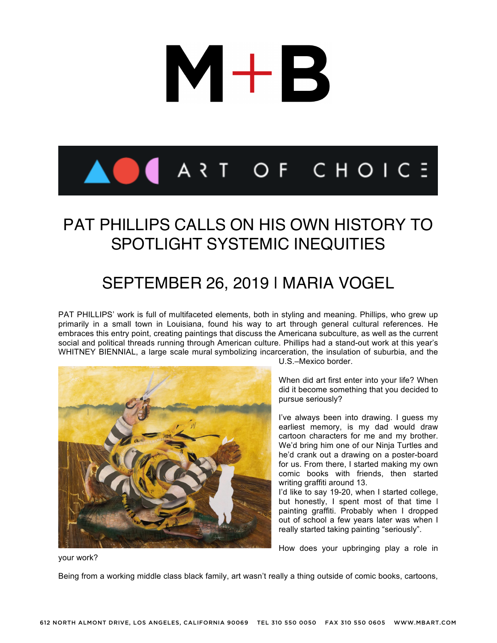

### PAT PHILLIPS CALLS ON HIS OWN HISTORY TO SPOTLIGHT SYSTEMIC INEQUITIES

### SEPTEMBER 26, 2019 I MARIA VOGEL

PAT PHILLIPS' work is full of multifaceted elements, both in styling and meaning. Phillips, who grew up primarily in a small town in Louisiana, found his way to art through general cultural references. He embraces this entry point, creating paintings that discuss the Americana subculture, as well as the current social and political threads running through American culture. Phillips had a stand-out work at this year's WHITNEY BIENNIAL, a large scale mural symbolizing incarceration, the insulation of suburbia, and the



U.S.–Mexico border.

When did art first enter into your life? When did it become something that you decided to pursue seriously?

I've always been into drawing. I guess my earliest memory, is my dad would draw cartoon characters for me and my brother. We'd bring him one of our Ninja Turtles and he'd crank out a drawing on a poster-board for us. From there, I started making my own comic books with friends, then started writing graffiti around 13.

I'd like to say 19-20, when I started college, but honestly, I spent most of that time l painting graffiti. Probably when I dropped out of school a few years later was when I really started taking painting "seriously".

How does your upbringing play a role in

your work?

Being from a working middle class black family, art wasn't really a thing outside of comic books, cartoons,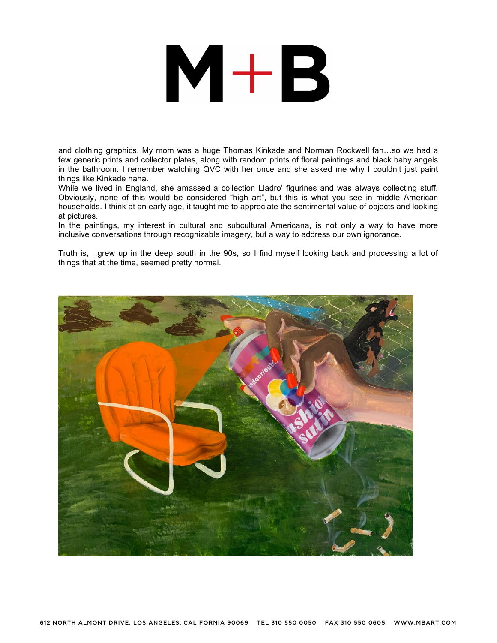and clothing graphics. My mom was a huge Thomas Kinkade and Norman Rockwell fan…so we had a few generic prints and collector plates, along with random prints of floral paintings and black baby angels in the bathroom. I remember watching QVC with her once and she asked me why I couldn't just paint things like Kinkade haha.

While we lived in England, she amassed a collection Lladro' figurines and was always collecting stuff. Obviously, none of this would be considered "high art", but this is what you see in middle American households. I think at an early age, it taught me to appreciate the sentimental value of objects and looking at pictures.

In the paintings, my interest in cultural and subcultural Americana, is not only a way to have more inclusive conversations through recognizable imagery, but a way to address our own ignorance.

Truth is, I grew up in the deep south in the 90s, so I find myself looking back and processing a lot of things that at the time, seemed pretty normal.

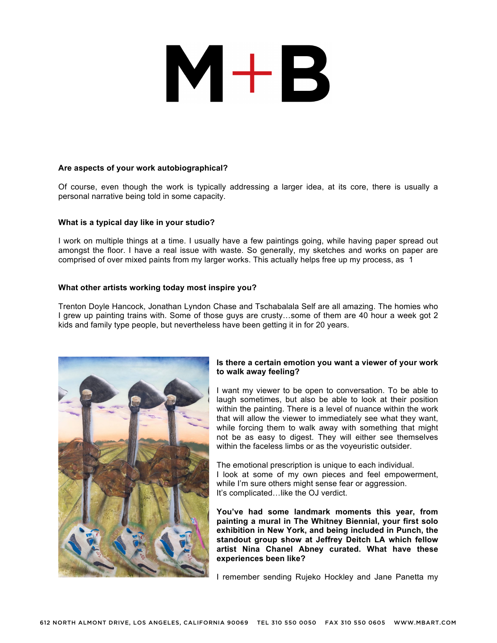#### **Are aspects of your work autobiographical?**

Of course, even though the work is typically addressing a larger idea, at its core, there is usually a personal narrative being told in some capacity.

#### **What is a typical day like in your studio?**

I work on multiple things at a time. I usually have a few paintings going, while having paper spread out amongst the floor. I have a real issue with waste. So generally, my sketches and works on paper are comprised of over mixed paints from my larger works. This actually helps free up my process, as 1

#### **What other artists working today most inspire you?**

Trenton Doyle Hancock, Jonathan Lyndon Chase and Tschabalala Self are all amazing. The homies who I grew up painting trains with. Some of those guys are crusty…some of them are 40 hour a week got 2 kids and family type people, but nevertheless have been getting it in for 20 years.



#### **Is there a certain emotion you want a viewer of your work to walk away feeling?**

I want my viewer to be open to conversation. To be able to laugh sometimes, but also be able to look at their position within the painting. There is a level of nuance within the work that will allow the viewer to immediately see what they want, while forcing them to walk away with something that might not be as easy to digest. They will either see themselves within the faceless limbs or as the voyeuristic outsider.

The emotional prescription is unique to each individual. I look at some of my own pieces and feel empowerment, while I'm sure others might sense fear or aggression. It's complicated…like the OJ verdict.

**You've had some landmark moments this year, from painting a mural in The Whitney Biennial, your first solo exhibition in New York, and being included in Punch, the standout group show at Jeffrey Deitch LA which fellow artist Nina Chanel Abney curated. What have these experiences been like?**

I remember sending Rujeko Hockley and Jane Panetta my